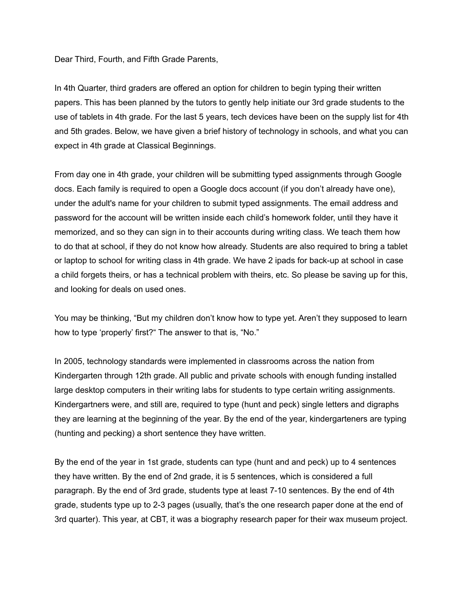Dear Third, Fourth, and Fifth Grade Parents,

In 4th Quarter, third graders are offered an option for children to begin typing their written papers. This has been planned by the tutors to gently help initiate our 3rd grade students to the use of tablets in 4th grade. For the last 5 years, tech devices have been on the supply list for 4th and 5th grades. Below, we have given a brief history of technology in schools, and what you can expect in 4th grade at Classical Beginnings.

From day one in 4th grade, your children will be submitting typed assignments through Google docs. Each family is required to open a Google docs account (if you don't already have one), under the adult's name for your children to submit typed assignments. The email address and password for the account will be written inside each child's homework folder, until they have it memorized, and so they can sign in to their accounts during writing class. We teach them how to do that at school, if they do not know how already. Students are also required to bring a tablet or laptop to school for writing class in 4th grade. We have 2 ipads for back-up at school in case a child forgets theirs, or has a technical problem with theirs, etc. So please be saving up for this, and looking for deals on used ones.

You may be thinking, "But my children don't know how to type yet. Aren't they supposed to learn how to type 'properly' first?" The answer to that is, "No."

In 2005, technology standards were implemented in classrooms across the nation from Kindergarten through 12th grade. All public and private schools with enough funding installed large desktop computers in their writing labs for students to type certain writing assignments. Kindergartners were, and still are, required to type (hunt and peck) single letters and digraphs they are learning at the beginning of the year. By the end of the year, kindergarteners are typing (hunting and pecking) a short sentence they have written.

By the end of the year in 1st grade, students can type (hunt and and peck) up to 4 sentences they have written. By the end of 2nd grade, it is 5 sentences, which is considered a full paragraph. By the end of 3rd grade, students type at least 7-10 sentences. By the end of 4th grade, students type up to 2-3 pages (usually, that's the one research paper done at the end of 3rd quarter). This year, at CBT, it was a biography research paper for their wax museum project.